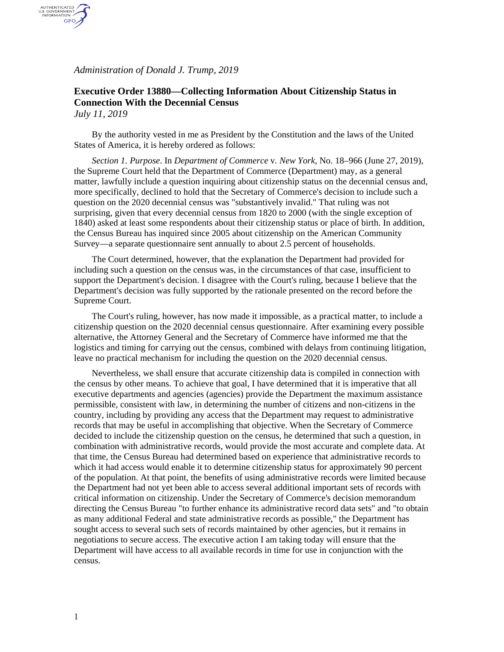*Administration of Donald J. Trump, 2019*

AUTHENTICATED<br>U.S. GOVERNMENT<br>INFORMATION GPO

## **Executive Order 13880—Collecting Information About Citizenship Status in Connection With the Decennial Census** *July 11, 2019*

By the authority vested in me as President by the Constitution and the laws of the United States of America, it is hereby ordered as follows:

*Section 1. Purpose*. In *Department of Commerce* v*. New York*, No. 18–966 (June 27, 2019), the Supreme Court held that the Department of Commerce (Department) may, as a general matter, lawfully include a question inquiring about citizenship status on the decennial census and, more specifically, declined to hold that the Secretary of Commerce's decision to include such a question on the 2020 decennial census was "substantively invalid." That ruling was not surprising, given that every decennial census from 1820 to 2000 (with the single exception of 1840) asked at least some respondents about their citizenship status or place of birth. In addition, the Census Bureau has inquired since 2005 about citizenship on the American Community Survey—a separate questionnaire sent annually to about 2.5 percent of households.

The Court determined, however, that the explanation the Department had provided for including such a question on the census was, in the circumstances of that case, insufficient to support the Department's decision. I disagree with the Court's ruling, because I believe that the Department's decision was fully supported by the rationale presented on the record before the Supreme Court.

The Court's ruling, however, has now made it impossible, as a practical matter, to include a citizenship question on the 2020 decennial census questionnaire. After examining every possible alternative, the Attorney General and the Secretary of Commerce have informed me that the logistics and timing for carrying out the census, combined with delays from continuing litigation, leave no practical mechanism for including the question on the 2020 decennial census.

Nevertheless, we shall ensure that accurate citizenship data is compiled in connection with the census by other means. To achieve that goal, I have determined that it is imperative that all executive departments and agencies (agencies) provide the Department the maximum assistance permissible, consistent with law, in determining the number of citizens and non-citizens in the country, including by providing any access that the Department may request to administrative records that may be useful in accomplishing that objective. When the Secretary of Commerce decided to include the citizenship question on the census, he determined that such a question, in combination with administrative records, would provide the most accurate and complete data. At that time, the Census Bureau had determined based on experience that administrative records to which it had access would enable it to determine citizenship status for approximately 90 percent of the population. At that point, the benefits of using administrative records were limited because the Department had not yet been able to access several additional important sets of records with critical information on citizenship. Under the Secretary of Commerce's decision memorandum directing the Census Bureau "to further enhance its administrative record data sets" and "to obtain as many additional Federal and state administrative records as possible," the Department has sought access to several such sets of records maintained by other agencies, but it remains in negotiations to secure access. The executive action I am taking today will ensure that the Department will have access to all available records in time for use in conjunction with the census.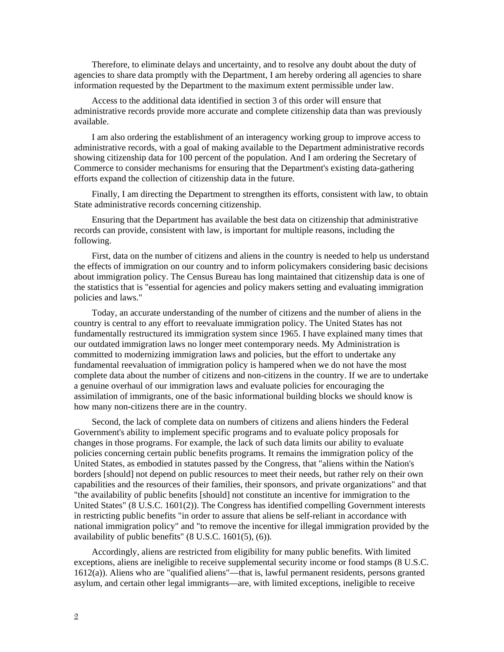Therefore, to eliminate delays and uncertainty, and to resolve any doubt about the duty of agencies to share data promptly with the Department, I am hereby ordering all agencies to share information requested by the Department to the maximum extent permissible under law.

Access to the additional data identified in section 3 of this order will ensure that administrative records provide more accurate and complete citizenship data than was previously available.

I am also ordering the establishment of an interagency working group to improve access to administrative records, with a goal of making available to the Department administrative records showing citizenship data for 100 percent of the population. And I am ordering the Secretary of Commerce to consider mechanisms for ensuring that the Department's existing data-gathering efforts expand the collection of citizenship data in the future.

Finally, I am directing the Department to strengthen its efforts, consistent with law, to obtain State administrative records concerning citizenship.

Ensuring that the Department has available the best data on citizenship that administrative records can provide, consistent with law, is important for multiple reasons, including the following.

First, data on the number of citizens and aliens in the country is needed to help us understand the effects of immigration on our country and to inform policymakers considering basic decisions about immigration policy. The Census Bureau has long maintained that citizenship data is one of the statistics that is "essential for agencies and policy makers setting and evaluating immigration policies and laws."

Today, an accurate understanding of the number of citizens and the number of aliens in the country is central to any effort to reevaluate immigration policy. The United States has not fundamentally restructured its immigration system since 1965. I have explained many times that our outdated immigration laws no longer meet contemporary needs. My Administration is committed to modernizing immigration laws and policies, but the effort to undertake any fundamental reevaluation of immigration policy is hampered when we do not have the most complete data about the number of citizens and non-citizens in the country. If we are to undertake a genuine overhaul of our immigration laws and evaluate policies for encouraging the assimilation of immigrants, one of the basic informational building blocks we should know is how many non-citizens there are in the country.

Second, the lack of complete data on numbers of citizens and aliens hinders the Federal Government's ability to implement specific programs and to evaluate policy proposals for changes in those programs. For example, the lack of such data limits our ability to evaluate policies concerning certain public benefits programs. It remains the immigration policy of the United States, as embodied in statutes passed by the Congress, that "aliens within the Nation's borders [should] not depend on public resources to meet their needs, but rather rely on their own capabilities and the resources of their families, their sponsors, and private organizations" and that "the availability of public benefits [should] not constitute an incentive for immigration to the United States" (8 U.S.C. 1601(2)). The Congress has identified compelling Government interests in restricting public benefits "in order to assure that aliens be self-reliant in accordance with national immigration policy" and "to remove the incentive for illegal immigration provided by the availability of public benefits" (8 U.S.C. 1601(5), (6)).

Accordingly, aliens are restricted from eligibility for many public benefits. With limited exceptions, aliens are ineligible to receive supplemental security income or food stamps (8 U.S.C. 1612(a)). Aliens who are "qualified aliens"—that is, lawful permanent residents, persons granted asylum, and certain other legal immigrants—are, with limited exceptions, ineligible to receive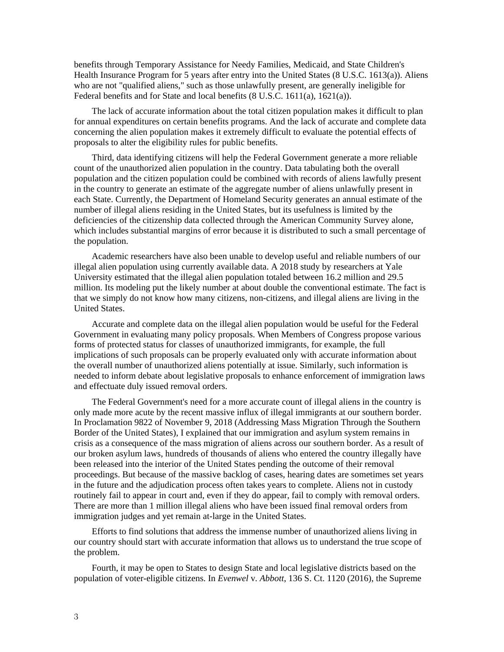benefits through Temporary Assistance for Needy Families, Medicaid, and State Children's Health Insurance Program for 5 years after entry into the United States (8 U.S.C. 1613(a)). Aliens who are not "qualified aliens," such as those unlawfully present, are generally ineligible for Federal benefits and for State and local benefits (8 U.S.C. 1611(a), 1621(a)).

The lack of accurate information about the total citizen population makes it difficult to plan for annual expenditures on certain benefits programs. And the lack of accurate and complete data concerning the alien population makes it extremely difficult to evaluate the potential effects of proposals to alter the eligibility rules for public benefits.

Third, data identifying citizens will help the Federal Government generate a more reliable count of the unauthorized alien population in the country. Data tabulating both the overall population and the citizen population could be combined with records of aliens lawfully present in the country to generate an estimate of the aggregate number of aliens unlawfully present in each State. Currently, the Department of Homeland Security generates an annual estimate of the number of illegal aliens residing in the United States, but its usefulness is limited by the deficiencies of the citizenship data collected through the American Community Survey alone, which includes substantial margins of error because it is distributed to such a small percentage of the population.

Academic researchers have also been unable to develop useful and reliable numbers of our illegal alien population using currently available data. A 2018 study by researchers at Yale University estimated that the illegal alien population totaled between 16.2 million and 29.5 million. Its modeling put the likely number at about double the conventional estimate. The fact is that we simply do not know how many citizens, non-citizens, and illegal aliens are living in the United States.

Accurate and complete data on the illegal alien population would be useful for the Federal Government in evaluating many policy proposals. When Members of Congress propose various forms of protected status for classes of unauthorized immigrants, for example, the full implications of such proposals can be properly evaluated only with accurate information about the overall number of unauthorized aliens potentially at issue. Similarly, such information is needed to inform debate about legislative proposals to enhance enforcement of immigration laws and effectuate duly issued removal orders.

The Federal Government's need for a more accurate count of illegal aliens in the country is only made more acute by the recent massive influx of illegal immigrants at our southern border. In Proclamation 9822 of November 9, 2018 (Addressing Mass Migration Through the Southern Border of the United States), I explained that our immigration and asylum system remains in crisis as a consequence of the mass migration of aliens across our southern border. As a result of our broken asylum laws, hundreds of thousands of aliens who entered the country illegally have been released into the interior of the United States pending the outcome of their removal proceedings. But because of the massive backlog of cases, hearing dates are sometimes set years in the future and the adjudication process often takes years to complete. Aliens not in custody routinely fail to appear in court and, even if they do appear, fail to comply with removal orders. There are more than 1 million illegal aliens who have been issued final removal orders from immigration judges and yet remain at-large in the United States.

Efforts to find solutions that address the immense number of unauthorized aliens living in our country should start with accurate information that allows us to understand the true scope of the problem.

Fourth, it may be open to States to design State and local legislative districts based on the population of voter-eligible citizens. In *Evenwel* v*. Abbott*, 136 S. Ct. 1120 (2016), the Supreme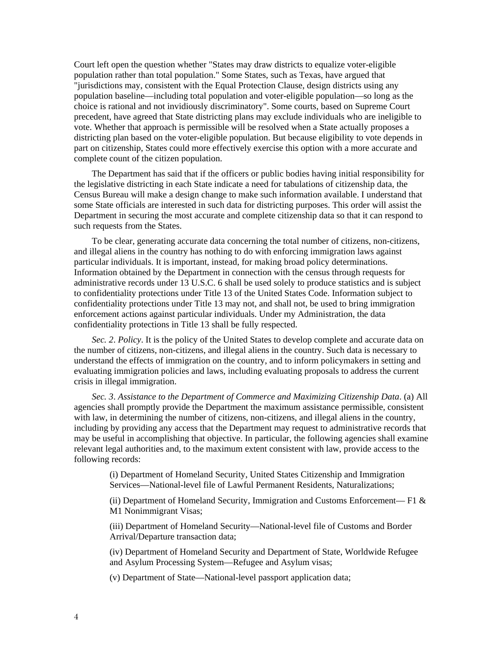Court left open the question whether "States may draw districts to equalize voter-eligible population rather than total population." Some States, such as Texas, have argued that "jurisdictions may, consistent with the Equal Protection Clause, design districts using any population baseline—including total population and voter-eligible population—so long as the choice is rational and not invidiously discriminatory". Some courts, based on Supreme Court precedent, have agreed that State districting plans may exclude individuals who are ineligible to vote. Whether that approach is permissible will be resolved when a State actually proposes a districting plan based on the voter-eligible population. But because eligibility to vote depends in part on citizenship, States could more effectively exercise this option with a more accurate and complete count of the citizen population.

The Department has said that if the officers or public bodies having initial responsibility for the legislative districting in each State indicate a need for tabulations of citizenship data, the Census Bureau will make a design change to make such information available. I understand that some State officials are interested in such data for districting purposes. This order will assist the Department in securing the most accurate and complete citizenship data so that it can respond to such requests from the States.

To be clear, generating accurate data concerning the total number of citizens, non-citizens, and illegal aliens in the country has nothing to do with enforcing immigration laws against particular individuals. It is important, instead, for making broad policy determinations. Information obtained by the Department in connection with the census through requests for administrative records under 13 U.S.C. 6 shall be used solely to produce statistics and is subject to confidentiality protections under Title 13 of the United States Code. Information subject to confidentiality protections under Title 13 may not, and shall not, be used to bring immigration enforcement actions against particular individuals. Under my Administration, the data confidentiality protections in Title 13 shall be fully respected.

*Sec. 2*. *Policy*. It is the policy of the United States to develop complete and accurate data on the number of citizens, non-citizens, and illegal aliens in the country. Such data is necessary to understand the effects of immigration on the country, and to inform policymakers in setting and evaluating immigration policies and laws, including evaluating proposals to address the current crisis in illegal immigration.

*Sec. 3*. *Assistance to the Department of Commerce and Maximizing Citizenship Data*. (a) All agencies shall promptly provide the Department the maximum assistance permissible, consistent with law, in determining the number of citizens, non-citizens, and illegal aliens in the country, including by providing any access that the Department may request to administrative records that may be useful in accomplishing that objective. In particular, the following agencies shall examine relevant legal authorities and, to the maximum extent consistent with law, provide access to the following records:

(i) Department of Homeland Security, United States Citizenship and Immigration Services—National-level file of Lawful Permanent Residents, Naturalizations;

(ii) Department of Homeland Security, Immigration and Customs Enforcement— F1  $\&$ M1 Nonimmigrant Visas;

(iii) Department of Homeland Security—National-level file of Customs and Border Arrival/Departure transaction data;

(iv) Department of Homeland Security and Department of State, Worldwide Refugee and Asylum Processing System—Refugee and Asylum visas;

(v) Department of State—National-level passport application data;